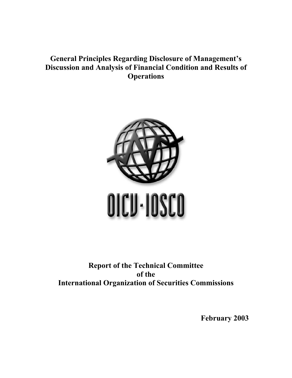## **General Principles Regarding Disclosure of Management's Discussion and Analysis of Financial Condition and Results of Operations**



## **Report of the Technical Committee of the International Organization of Securities Commissions**

**February 2003**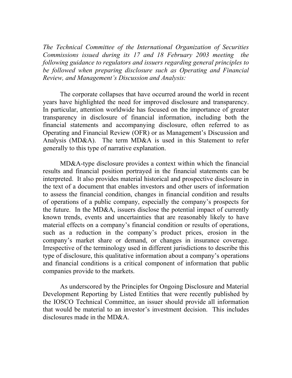*The Technical Committee of the International Organization of Securities Commissions issued during its 17 and 18 February 2003 meeting the following guidance to regulators and issuers regarding general principles to be followed when preparing disclosure such as Operating and Financial Review, and Management's Discussion and Analysis:* 

 The corporate collapses that have occurred around the world in recent years have highlighted the need for improved disclosure and transparency. In particular, attention worldwide has focused on the importance of greater transparency in disclosure of financial information, including both the financial statements and accompanying disclosure, often referred to as Operating and Financial Review (OFR) or as Management's Discussion and Analysis (MD&A). The term MD&A is used in this Statement to refer generally to this type of narrative explanation.

 MD&A-type disclosure provides a context within which the financial results and financial position portrayed in the financial statements can be interpreted. It also provides material historical and prospective disclosure in the text of a document that enables investors and other users of information to assess the financial condition, changes in financial condition and results of operations of a public company, especially the company's prospects for the future. In the MD&A, issuers disclose the potential impact of currently known trends, events and uncertainties that are reasonably likely to have material effects on a company's financial condition or results of operations, such as a reduction in the company's product prices, erosion in the company's market share or demand, or changes in insurance coverage. Irrespective of the terminology used in different jurisdictions to describe this type of disclosure, this qualitative information about a company's operations and financial conditions is a critical component of information that public companies provide to the markets.

As underscored by the Principles for Ongoing Disclosure and Material Development Reporting by Listed Entities that were recently published by the IOSCO Technical Committee, an issuer should provide all information that would be material to an investor's investment decision. This includes disclosures made in the MD&A.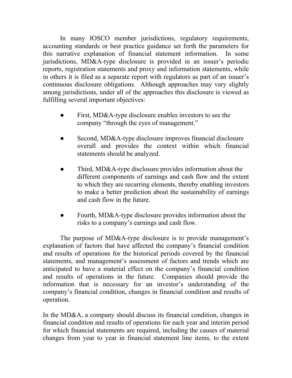In many IOSCO member jurisdictions, regulatory requirements, accounting standards or best practice guidance set forth the parameters for this narrative explanation of financial statement information. In some jurisdictions, MD&A-type disclosure is provided in an issuer's periodic reports, registration statements and proxy and information statements, while in others it is filed as a separate report with regulators as part of an issuer's continuous disclosure obligations. Although approaches may vary slightly among jurisdictions, under all of the approaches this disclosure is viewed as fulfilling several important objectives:

- First, MD&A-type disclosure enables investors to see the company "through the eyes of management."
- Second, MD&A-type disclosure improves financial disclosure overall and provides the context within which financial statements should be analyzed.
- Third, MD&A-type disclosure provides information about the different components of earnings and cash flow and the extent to which they are recurring elements, thereby enabling investors to make a better prediction about the sustainability of earnings and cash flow in the future.
- Fourth, MD&A-type disclosure provides information about the risks to a company's earnings and cash flow.

 The purpose of MD&A-type disclosure is to provide management's explanation of factors that have affected the company's financial condition and results of operations for the historical periods covered by the financial statements, and management's assessment of factors and trends which are anticipated to have a material effect on the company's financial condition and results of operations in the future. Companies should provide the information that is necessary for an investor's understanding of the company's financial condition, changes in financial condition and results of operation.

In the MD&A, a company should discuss its financial condition, changes in financial condition and results of operations for each year and interim period for which financial statements are required, including the causes of material changes from year to year in financial statement line items, to the extent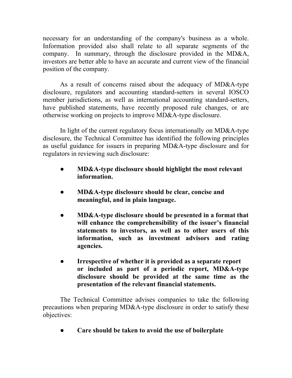necessary for an understanding of the company's business as a whole. Information provided also shall relate to all separate segments of the company. In summary, through the disclosure provided in the MD&A, investors are better able to have an accurate and current view of the financial position of the company.

As a result of concerns raised about the adequacy of MD&A-type disclosure, regulators and accounting standard-setters in several IOSCO member jurisdictions, as well as international accounting standard-setters, have published statements, have recently proposed rule changes, or are otherwise working on projects to improve MD&A-type disclosure.

In light of the current regulatory focus internationally on MD&A-type disclosure, the Technical Committee has identified the following principles as useful guidance for issuers in preparing MD&A-type disclosure and for regulators in reviewing such disclosure:

- **● MD&A-type disclosure should highlight the most relevant information.**
- **● MD&A-type disclosure should be clear, concise and meaningful, and in plain language.**
- **● MD&A-type disclosure should be presented in a format that will enhance the comprehensibility of the issuer's financial statements to investors, as well as to other users of this information, such as investment advisors and rating agencies.**
- **● Irrespective of whether it is provided as a separate report or included as part of a periodic report, MD&A-type disclosure should be provided at the same time as the presentation of the relevant financial statements.**

 The Technical Committee advises companies to take the following precautions when preparing MD&A-type disclosure in order to satisfy these objectives:

*●* **Care should be taken to avoid the use of boilerplate**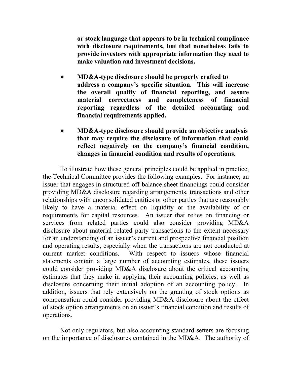**or stock language that appears to be in technical compliance with disclosure requirements, but that nonetheless fails to provide investors with appropriate information they need to make valuation and investment decisions.** 

- **● MD&A-type disclosure should be properly crafted to address a company's specific situation. This will increase the overall quality of financial reporting, and assure material correctness and completeness of financial reporting regardless of the detailed accounting and financial requirements applied.**
- **● MD&A-type disclosure should provide an objective analysis that may require the disclosure of information that could reflect negatively on the company's financial condition, changes in financial condition and results of operations.**

 To illustrate how these general principles could be applied in practice, the Technical Committee provides the following examples. For instance, an issuer that engages in structured off-balance sheet financings could consider providing MD&A disclosure regarding arrangements, transactions and other relationships with unconsolidated entities or other parties that are reasonably likely to have a material effect on liquidity or the availability of or requirements for capital resources. An issuer that relies on financing or services from related parties could also consider providing MD&A disclosure about material related party transactions to the extent necessary for an understanding of an issuer's current and prospective financial position and operating results, especially when the transactions are not conducted at current market conditions. With respect to issuers whose financial statements contain a large number of accounting estimates, these issuers could consider providing MD&A disclosure about the critical accounting estimates that they make in applying their accounting policies, as well as disclosure concerning their initial adoption of an accounting policy. In addition, issuers that rely extensively on the granting of stock options as compensation could consider providing MD&A disclosure about the effect of stock option arrangements on an issuer's financial condition and results of operations.

Not only regulators, but also accounting standard-setters are focusing on the importance of disclosures contained in the MD&A. The authority of